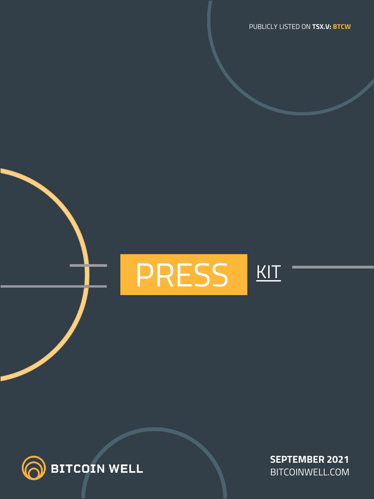# PRESS |KIT



**SEPTEMBER 2021** BITCOINWELL.COM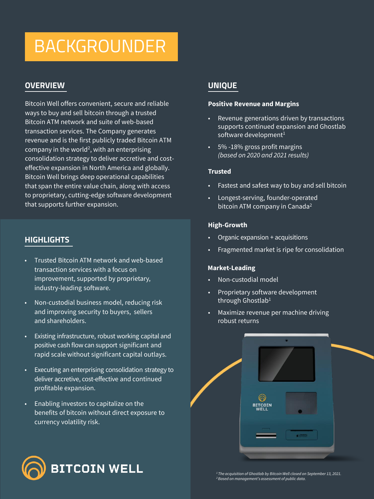## BACKGROUNDER

## **OVERVIEW**

Bitcoin Well offers convenient, secure and reliable ways to buy and sell bitcoin through a trusted Bitcoin ATM network and suite of web-based transaction services. The Company generates revenue and is the first publicly traded Bitcoin ATM company in the world<sup>2</sup>, with an enterprising consolidation strategy to deliver accretive and costeffective expansion in North America and globally. Bitcoin Well brings deep operational capabilities that span the entire value chain, along with access to proprietary, cutting-edge software development that supports further expansion.

## **HIGHLIGHTS**

- Trusted Bitcoin ATM network and web-based transaction services with a focus on improvement, supported by proprietary, industry-leading software.
- Non-custodial business model, reducing risk and improving security to buyers, sellers and shareholders.
- Existing infrastructure, robust working capital and positive cash flow can support significant and rapid scale without significant capital outlays.
- Executing an enterprising consolidation strategy to deliver accretive, cost-effective and continued profitable expansion.
- Enabling investors to capitalize on the benefits of bitcoin without direct exposure to currency volatility risk.



## **UNIQUE**

#### **Positive Revenue and Margins**

- Revenue generations driven by transactions supports continued expansion and Ghostlab software development<sup>1</sup>
- 5% -18% gross profit margins *(based on 2020 and 2021 results)*

#### **Trusted**

- Fastest and safest way to buy and sell bitcoin
- Longest-serving, founder-operated bitcoin ATM company in Canada<sup>2</sup>

#### **High-Growth**

- Organic expansion + acquisitions
- Fragmented market is ripe for consolidation

#### **Market-Leading**

- Non-custodial model
- Proprietary software development through Ghostlab<sup>1</sup>
- Maximize revenue per machine driving robust returns



*<sup>1</sup>The acquisition of Ghostlab by Bitcoin Well closed on September 13, 2021. <sup>2</sup>Based on management's assessment of public data.*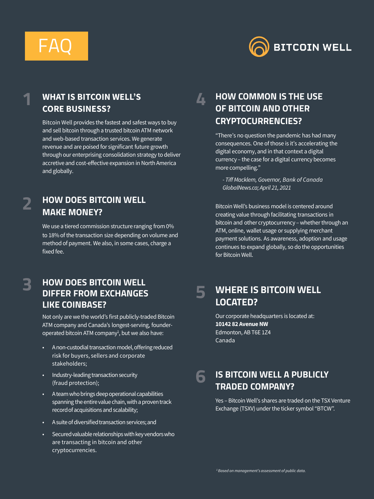



## **WHAT IS BITCOIN WELL'S CORE BUSINESS?**

Bitcoin Well provides the fastest and safest ways to buy and sell bitcoin through a trusted bitcoin ATM network and web-based transaction services.We generate revenue and are poised for significant future growth through our enterprising consolidation strategy to deliver accretive and cost-effective expansion in North America and globally.

## **2**

**3**

**1**

## **HOW DOES BITCOIN WELL MAKE MONEY?**

We use a tiered commission structure ranging from 0% to 18% of the transaction size depending on volume and method of payment. We also, in some cases, charge a fixed fee.

## **HOW DOES BITCOIN WELL DIFFER FROM EXCHANGES LIKE COINBASE?**

Not only are we the world's first publicly-traded Bitcoin ATM company and Canada's longest-serving, founderoperated bitcoin ATM company 1 , but we also have:

- A non-custodial transaction model, offering reduced risk for buyers, sellers and corporate stakeholders;
- Industry-leading transaction security (fraud protection);
- A team who brings deep operational capabilities spanning the entire value chain, with a proven track record of acquisitions and scalability;
- A suite of diversifiedtransaction services;and
- Secured valuable relationships with key vendors who are transacting in bitcoin and other cryptocurrencies.

### **HOW COMMON IS THE USE OF BITCOIN AND OTHER CRYPTOCURRENCIES? 4**

"There's no question the pandemic has had many consequences. One of those is it's accelerating the digital economy, and in that context a digital currency – the case for a digital currency becomes more compelling."

*- Tiff Macklem, Governor, Bank of Canada GlobalNews.ca;April 21, 2021*

BitcoinWell's business model is centered around creating value through facilitating transactions in bitcoin and other cryptocurrency – whether through an ATM, online, wallet usage or supplying merchant payment solutions. As awareness, adoption and usage continues to expand globally, so do the opportunities for Bitcoin Well.

#### **WHERE IS BITCOIN WELL LOCATED? 5**

Our corporate headquarters is located at: **10142 82 AvenueNW** Edmonton, AB T6E 1Z4 Canada

#### **IS BITCOIN WELL A PUBLICLY TRADED COMPANY? 6**

Yes - Bitcoin Well's shares are traded on the TSX Venture Exchange (TSXV) under the ticker symbol "BTCW".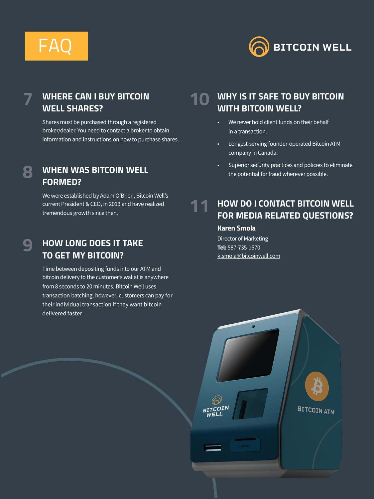## FAQ



## **WHERE CAN I BUY BITCOIN WELL SHARES?**

Shares must be purchased through a registered broker/dealer. You need to contact a brokerto obtain information and instructions on how to purchase shares.

## **8**

**9**

**7**

## **WHEN WAS BITCOIN WELL FORMED?**

We were established by Adam O'Brien, Bitcoin Well's current President & CEO, in 2013 and have realized tremendous growth since then.

## **HOW LONG DOES IT TAKE TO GET MY BITCOIN?**

Time between depositing funds into our ATM and bitcoin delivery to the customer's wallet is anywhere from 8 seconds to 20 minutes. Bitcoin Well uses transaction batching, however, customers can pay for their individual transaction if they want bitcoin delivered faster.

#### **WHY IS IT SAFE TO BUY BITCOIN WITH BITCOIN WELL? 10**

- We never hold client funds on their behalf in a transaction.
- Longest-serving founder-operated Bitcoin ATM company in Canada.
- Superior security practices and policies to eliminate the potential for fraud wherever possible.

#### **HOW DO I CONTACT BITCOIN WELL FOR MEDIA RELATED QUESTIONS? 11**

### **Karen Smola**

Director of Marketing **Tel:** 587-735-1570 [k.smola@bitcoinwell.com](mailto:k.smola@bitcoinwell.com)

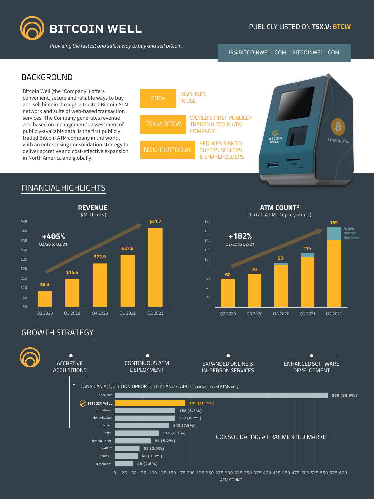

*Providing the fastest and safest way to buy and sell bitcoin.*

#### PUBLICLY LISTED ON **TSX.V: BTCW**

IR@BITCOINWELL.COM | BITCOINWELL.COM

### BACKGROUND

Bitcoin Well (the "Company") offers convenient, secure and reliable ways to buy and sell bitcoin through a trusted Bitcoin ATM network and suite of web-based transaction services. The Company generates revenue and based on management's assessment of publicly-available data, is the first publicly traded Bitcoin ATM company in the world, with an enterprising consolidation strategy to deliver accretive and cost-effective expansion in North America and globally.





## FINANCIAL HIGHLIGHTS



**ATM COUNT<sup>2</sup>** (Total ATM Deployment)



## GROWTH STRATEGY

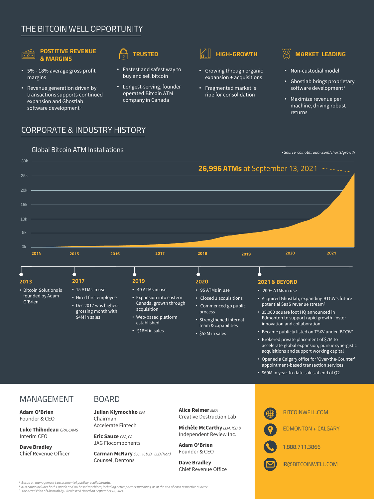## THE BITCOIN WELL OPPORTUNITY

## $\overline{\cdot \cdot \cdot}$

#### **POSTITIVE REVENUE & MARGINS**

- 5% 18% average gross profit margins
- Revenue generation driven by transactions supports continued expansion and Ghostlab software development<sup>3</sup>

- Fastest and safest way to buy and sell bitcoin
- Longest-serving, founder operated Bitcoin ATM company in Canada



- Growing through organic expansion + acquisitions
- Fragmented market is ripe for consolidation

- Non-custodial model
- Ghostlab brings proprietary software development<sup>3</sup>
- Maximize revenue per machine, driving robust returns

## CORPORATE & INDUSTRY HISTORY



**Luke Thibodeau** *CPA, CAMS* Interim CFO

**Dave Bradley** Chief Revenue Officer Accelerate Fintech

**Eric Sauze** *CFA, CA* JAG Flocomponents

**Carman McNary** *Q.C., ICD.D., LLD (Hon)*  Counsel, Dentons

**Michèle McCarthy** *LLM, ICD.D* Independent Review Inc.

**Adam O'Brien** Founder & CEO

**Dave Bradley** Chief Revenue Office EDMONTON + CALGARY 1.888.711.3866

IR@BITCOINWELL.COM

*<sup>1</sup>Based on management's assessment of publicly-available data.*

<sup>2</sup> ATM count includes both Canada and UK based machines, including active partner machines, as at the end of each respective quarter.<br><sup>3</sup> The acquisition of Ghostlab by Bitcoin Well closed on September 13, 2021.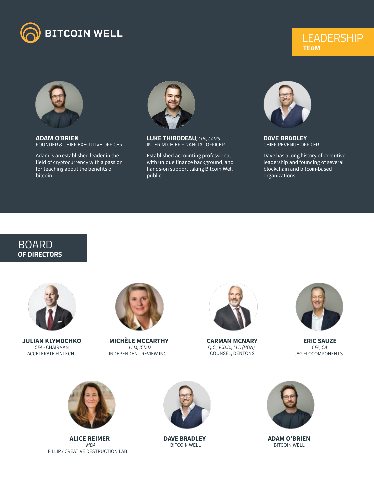

## **LEADERSHIP TEAM**



**ADAM O'BRIEN** FOUNDER & CHIEF EXECUTIVE OFFICER

Adam is an established leader in the field of cryptocurrency with a passion for teaching about the benefits of bitcoin.



**LUKE THIBODEAU***, CPA, CAMS* INTERIM CHIEF FINANCIAL OFFICER

Established accounting professional with unique finance background, and hands-on support taking Bitcoin Well public



**DAVE BRADLEY** CHIEF REVENUE OFFICER

Dave has a long history of executive leadership and founding of several blockchain and bitcoin-based organizations.

## BOARD **OF DIRECTORS**



**JULIAN KLYMOCHKO** *CFA* - CHAIRMAN ACCELERATE FINTECH



**MICHÈLE MCCARTHY** *LLM, ICD.D* INDEPENDENT REVIEW INC.



**CARMAN MCNARY** Q*.C., ICD.D., LLD (HON)* COUNSEL, DENTONS



**ERIC SAUZE** *CFA, CA* JAG FLOCOMPONENTS



**ALICE REIMER** *MBA* FILLIP / CREATIVE DESTRUCTION LAB



**DAVE BRADLEY** BITCOIN WELL



**ADAM O'BRIEN** BITCOIN WELL